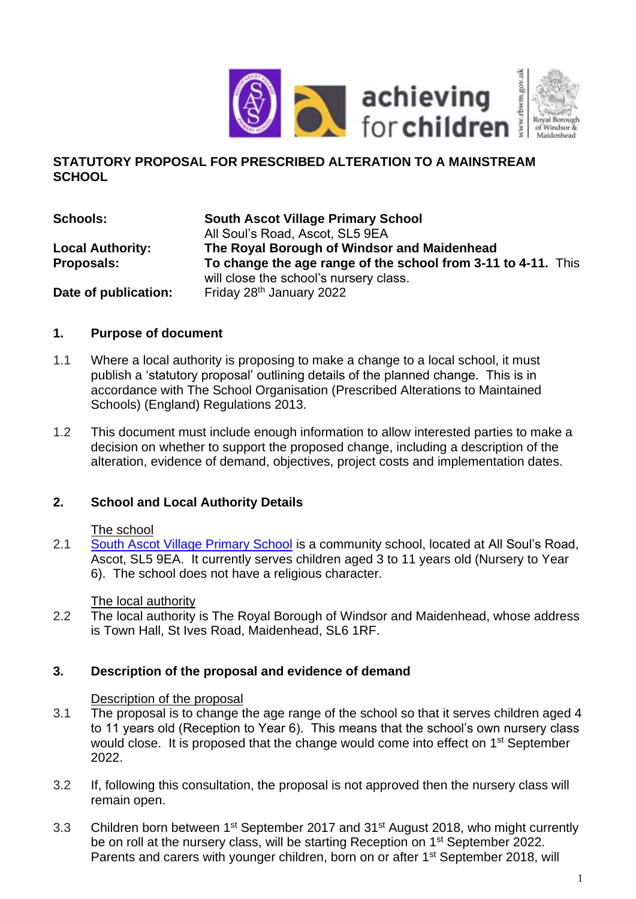

#### **STATUTORY PROPOSAL FOR PRESCRIBED ALTERATION TO A MAINSTREAM SCHOOL**

**Schools: South Ascot Village Primary School** All Soul's Road, Ascot, SL5 9EA **Local Authority: The Royal Borough of Windsor and Maidenhead Proposals: To change the age range of the school from 3-11 to 4-11.** This will close the school's nursery class. **Date of publication:** Friday 28<sup>th</sup> January 2022

# **1. Purpose of document**

- 1.1 Where a local authority is proposing to make a change to a local school, it must publish a 'statutory proposal' outlining details of the planned change. This is in accordance with The School Organisation (Prescribed Alterations to Maintained Schools) (England) Regulations 2013.
- 1.2 This document must include enough information to allow interested parties to make a decision on whether to support the proposed change, including a description of the alteration, evidence of demand, objectives, project costs and implementation dates.

# **2. School and Local Authority Details**

# The school

2.1 [South Ascot Village Primary School](https://www.rbwm.gov.uk/home/schools-and-education/schools-and-schooling/schools-directory/south-ascot-village-primary-school) is a community school, located at All Soul's Road, Ascot, SL5 9EA. It currently serves children aged 3 to 11 years old (Nursery to Year 6). The school does not have a religious character.

#### The local authority

2.2 The local authority is The Royal Borough of Windsor and Maidenhead, whose address is Town Hall, St Ives Road, Maidenhead, SL6 1RF.

# **3. Description of the proposal and evidence of demand**

# Description of the proposal

- 3.1 The proposal is to change the age range of the school so that it serves children aged 4 to 11 years old (Reception to Year 6). This means that the school's own nursery class would close. It is proposed that the change would come into effect on 1<sup>st</sup> September 2022.
- 3.2 If, following this consultation, the proposal is not approved then the nursery class will remain open.
- 3.3 Children born between 1<sup>st</sup> September 2017 and 31<sup>st</sup> August 2018, who might currently be on roll at the nursery class, will be starting Reception on 1<sup>st</sup> September 2022. Parents and carers with younger children, born on or after 1<sup>st</sup> September 2018, will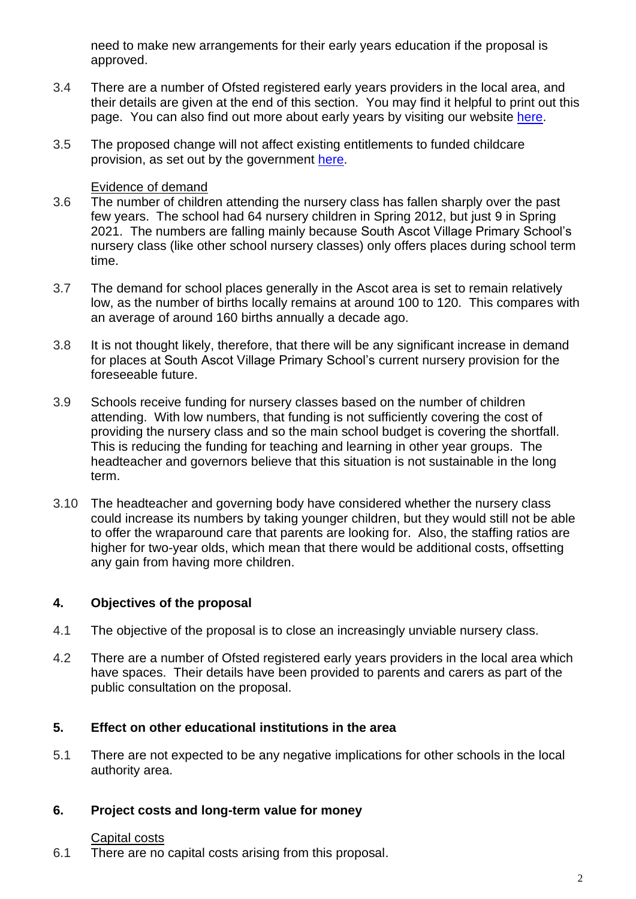need to make new arrangements for their early years education if the proposal is approved.

- 3.4 There are a number of Ofsted registered early years providers in the local area, and their details are given at the end of this section. You may find it helpful to print out this page. You can also find out more about early years by visiting our website [here.](https://rbwm.afcinfo.org.uk/pages/community-information/information-and-advice/early-years-and-childcare/early-years-funding)
- 3.5 The proposed change will not affect existing entitlements to funded childcare provision, as set out by the government [here.](http://www.childcarechoices.gov.uk/)

#### Evidence of demand

- 3.6 The number of children attending the nursery class has fallen sharply over the past few years. The school had 64 nursery children in Spring 2012, but just 9 in Spring 2021. The numbers are falling mainly because South Ascot Village Primary School's nursery class (like other school nursery classes) only offers places during school term time.
- 3.7 The demand for school places generally in the Ascot area is set to remain relatively low, as the number of births locally remains at around 100 to 120. This compares with an average of around 160 births annually a decade ago.
- 3.8 It is not thought likely, therefore, that there will be any significant increase in demand for places at South Ascot Village Primary School's current nursery provision for the foreseeable future.
- 3.9 Schools receive funding for nursery classes based on the number of children attending. With low numbers, that funding is not sufficiently covering the cost of providing the nursery class and so the main school budget is covering the shortfall. This is reducing the funding for teaching and learning in other year groups. The headteacher and governors believe that this situation is not sustainable in the long term.
- 3.10 The headteacher and governing body have considered whether the nursery class could increase its numbers by taking younger children, but they would still not be able to offer the wraparound care that parents are looking for. Also, the staffing ratios are higher for two-year olds, which mean that there would be additional costs, offsetting any gain from having more children.

# **4. Objectives of the proposal**

- 4.1 The objective of the proposal is to close an increasingly unviable nursery class.
- 4.2 There are a number of Ofsted registered early years providers in the local area which have spaces. Their details have been provided to parents and carers as part of the public consultation on the proposal.

# **5. Effect on other educational institutions in the area**

5.1 There are not expected to be any negative implications for other schools in the local authority area.

# **6. Project costs and long-term value for money**

# Capital costs

6.1 There are no capital costs arising from this proposal.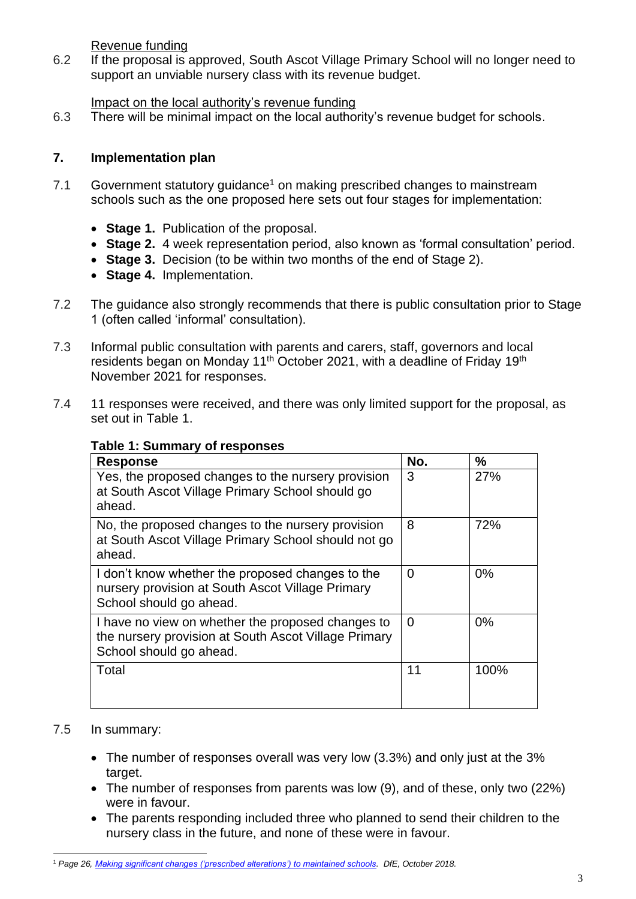Revenue funding

6.2 If the proposal is approved, South Ascot Village Primary School will no longer need to support an unviable nursery class with its revenue budget.

#### Impact on the local authority's revenue funding

6.3 There will be minimal impact on the local authority's revenue budget for schools.

# **7. Implementation plan**

- 7.1 Government statutory quidance<sup>1</sup> on making prescribed changes to mainstream schools such as the one proposed here sets out four stages for implementation:
	- **Stage 1.** Publication of the proposal.
	- **Stage 2.** 4 week representation period, also known as 'formal consultation' period.
	- **Stage 3.** Decision (to be within two months of the end of Stage 2).
	- **Stage 4.** Implementation.
- 7.2 The guidance also strongly recommends that there is public consultation prior to Stage 1 (often called 'informal' consultation).
- 7.3 Informal public consultation with parents and carers, staff, governors and local residents began on Monday 11<sup>th</sup> October 2021, with a deadline of Friday 19<sup>th</sup> November 2021 for responses.
- 7.4 11 responses were received, and there was only limited support for the proposal, as set out in Table 1.

# **Table 1: Summary of responses**

| <b>Response</b>                                                                                                                      | No. | $\frac{9}{6}$ |
|--------------------------------------------------------------------------------------------------------------------------------------|-----|---------------|
| Yes, the proposed changes to the nursery provision<br>at South Ascot Village Primary School should go<br>ahead.                      | 3   | 27%           |
| No, the proposed changes to the nursery provision<br>at South Ascot Village Primary School should not go<br>ahead.                   | 8   | 72%           |
| I don't know whether the proposed changes to the<br>nursery provision at South Ascot Village Primary<br>School should go ahead.      | 0   | 0%            |
| I have no view on whether the proposed changes to<br>the nursery provision at South Ascot Village Primary<br>School should go ahead. | 0   | 0%            |
| Total                                                                                                                                | 11  | 100%          |

#### 7.5 In summary:

- The number of responses overall was very low (3.3%) and only just at the 3% target.
- The number of responses from parents was low (9), and of these, only two (22%) were in favour.
- The parents responding included three who planned to send their children to the nursery class in the future, and none of these were in favour.

<sup>1</sup> *Page 26, [Making significant changes \('prescribed alterations'\) to maintained schools.](https://assets.publishing.service.gov.uk/government/uploads/system/uploads/attachment_data/file/756572/Maintained_schools_prescribed_alterations_guidance.pdf) DfE, October 2018.*